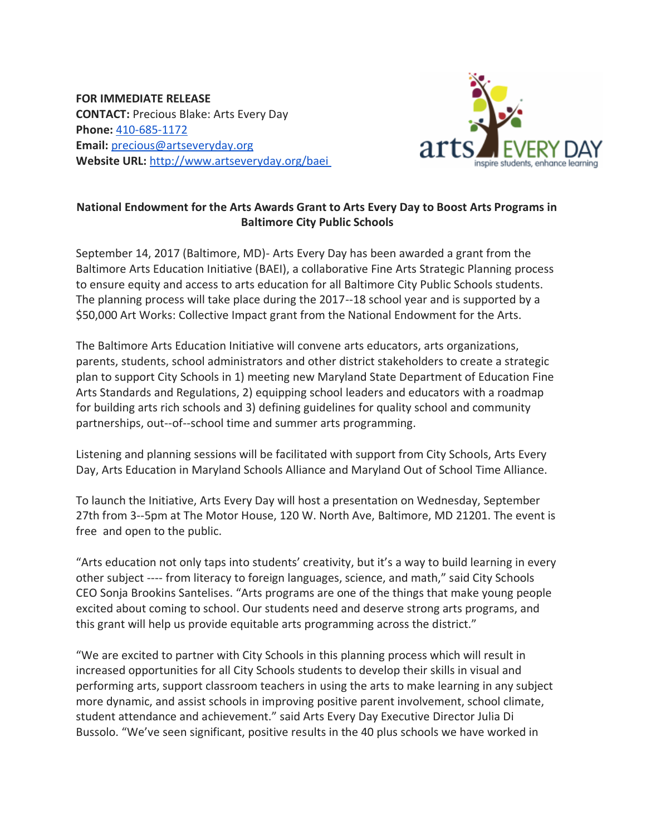**FOR IMMEDIATE RELEASE CONTACT:** Precious Blake: Arts Every Day **Phone:** [410-685-1172](tel:(410)%20685-1172) **Email:** [precious@artseveryday.org](mailto:precious@artseveryday.org) **Website URL:** <http://www.artseveryday.org/baei>



## **National Endowment for the Arts Awards Grant to Arts Every Day to Boost Arts Programs in Baltimore City Public Schools**

September 14, 2017 (Baltimore, MD)- Arts Every Day has been awarded a grant from the Baltimore Arts Education Initiative (BAEI), a collaborative Fine Arts Strategic Planning process to ensure equity and access to arts education for all Baltimore City Public Schools students. The planning process will take place during the 2017-‐18 school year and is supported by a \$50,000 Art Works: Collective Impact grant from the National Endowment for the Arts.

The Baltimore Arts Education Initiative will convene arts educators, arts organizations, parents, students, school administrators and other district stakeholders to create a strategic plan to support City Schools in 1) meeting new Maryland State Department of Education Fine Arts Standards and Regulations, 2) equipping school leaders and educators with a roadmap for building arts rich schools and 3) defining guidelines for quality school and community partnerships, out-‐of-‐school time and summer arts programming.

Listening and planning sessions will be facilitated with support from City Schools, Arts Every Day, Arts Education in Maryland Schools Alliance and Maryland Out of School Time Alliance.

To launch the Initiative, Arts Every Day will host a presentation on Wednesday, September 27th from 3-‐5pm at The Motor House, 120 W. North Ave, Baltimore, MD 21201. The event is free and open to the public.

"Arts education not only taps into students' creativity, but it's a way to build learning in every other subject -‐-‐ from literacy to foreign languages, science, and math," said City Schools CEO Sonja Brookins Santelises. "Arts programs are one of the things that make young people excited about coming to school. Our students need and deserve strong arts programs, and this grant will help us provide equitable arts programming across the district."

"We are excited to partner with City Schools in this planning process which will result in increased opportunities for all City Schools students to develop their skills in visual and performing arts, support classroom teachers in using the arts to make learning in any subject more dynamic, and assist schools in improving positive parent involvement, school climate, student attendance and achievement." said Arts Every Day Executive Director Julia Di Bussolo. "We've seen significant, positive results in the 40 plus schools we have worked in